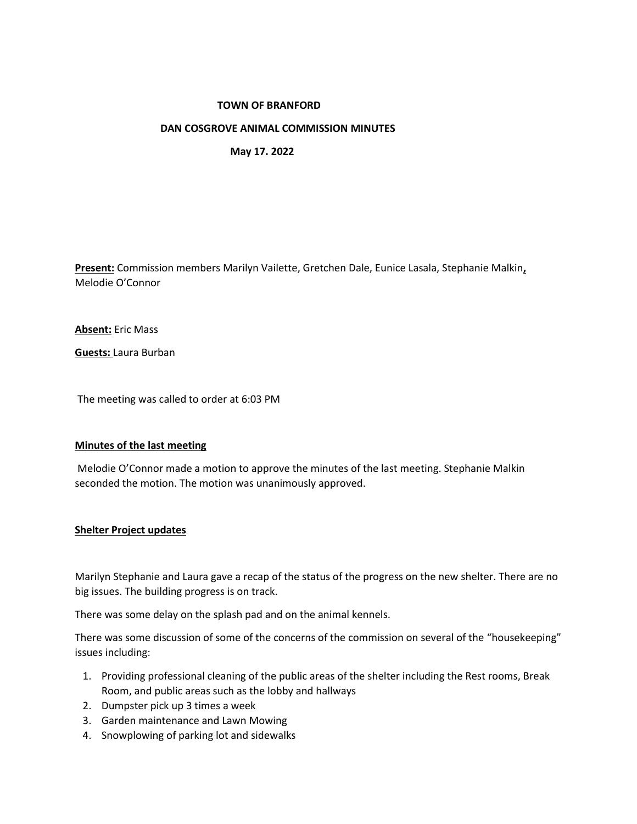## **TOWN OF BRANFORD**

## **DAN COSGROVE ANIMAL COMMISSION MINUTES**

 **May 17. 2022**

**Present:** Commission members Marilyn Vailette, Gretchen Dale, Eunice Lasala, Stephanie Malkin**,** Melodie O'Connor

**Absent:** Eric Mass

**Guests:** Laura Burban

The meeting was called to order at 6:03 PM

#### **Minutes of the last meeting**

Melodie O'Connor made a motion to approve the minutes of the last meeting. Stephanie Malkin seconded the motion. The motion was unanimously approved.

# **Shelter Project updates**

Marilyn Stephanie and Laura gave a recap of the status of the progress on the new shelter. There are no big issues. The building progress is on track.

There was some delay on the splash pad and on the animal kennels.

There was some discussion of some of the concerns of the commission on several of the "housekeeping" issues including:

- 1. Providing professional cleaning of the public areas of the shelter including the Rest rooms, Break Room, and public areas such as the lobby and hallways
- 2. Dumpster pick up 3 times a week
- 3. Garden maintenance and Lawn Mowing
- 4. Snowplowing of parking lot and sidewalks